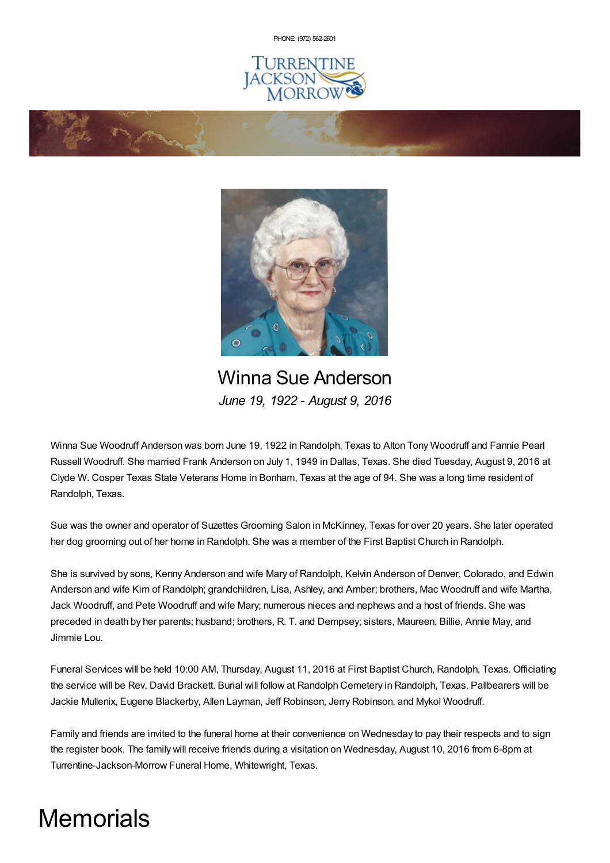PHONE: (972) [562-2601](tel:(972) 562-2601)





Winna Sue Anderson *June 19, 1922 - August 9, 2016*

Winna Sue Woodruff Anderson was born June 19, 1922 in Randolph, Texas to Alton Tony Woodruff and Fannie Pearl Russell Woodruff. She married Frank Anderson on July 1, 1949 in Dallas, Texas. She died Tuesday, August 9, 2016 at Clyde W. Cosper Texas State Veterans Home in Bonham, Texas at the age of 94. She was a long time resident of Randolph, Texas.

Sue was the owner and operator of Suzettes Grooming Salon in McKinney, Texas for over 20 years. She later operated her dog grooming out of her home in Randolph. She was a member of the First Baptist Church in Randolph.

She is survived by sons, Kenny Anderson and wife Mary of Randolph, Kelvin Anderson of Denver, Colorado, and Edwin Anderson and wife Kim of Randolph; grandchildren, Lisa, Ashley, and Amber; brothers, Mac Woodruff and wife Martha, Jack Woodruff, and Pete Woodruff and wife Mary; numerous nieces and nephews and a host of friends. She was preceded in death by her parents; husband; brothers, R. T. and Dempsey; sisters, Maureen, Billie, Annie May, and Jimmie Lou.

Funeral Services will be held 10:00 AM, Thursday, August 11, 2016 at First Baptist Church, Randolph, Texas. Officiating the service will be Rev. David Brackett. Burial will follow at Randolph Cemetery in Randolph, Texas. Pallbearers will be Jackie Mullenix, Eugene Blackerby, Allen Layman, Jeff Robinson, Jerry Robinson, and Mykol Woodruff.

Family and friends are invited to the funeral home at their convenience on Wednesday to pay their respects and to sign the register book. The family will receive friends during a visitation on Wednesday, August 10, 2016 from 6-8pm at Turrentine-Jackson-Morrow Funeral Home, Whitewright, Texas.

## **Memorials**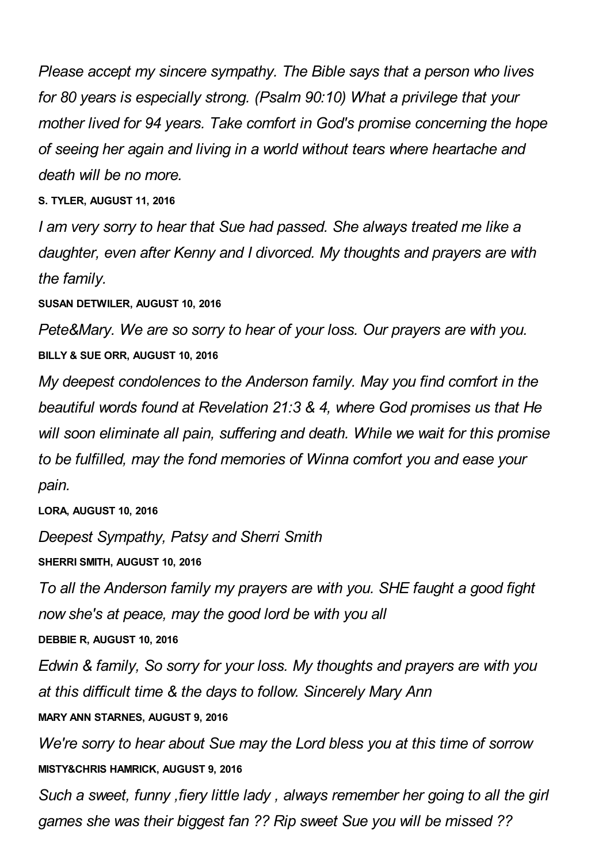*Please accept my sincere sympathy. The Bible says that a person who lives for 80 years is especially strong. (Psalm 90:10) What a privilege that your mother lived for 94 years. Take comfort in God's promise concerning the hope of seeing her again and living in a world without tears where heartache and death will be no more.*

**S. TYLER, AUGUST 11, 2016**

*I am very sorry to hear that Sue had passed. She always treated me like a daughter, even after Kenny and I divorced. My thoughts and prayers are with the family.*

**SUSAN DETWILER, AUGUST 10, 2016**

*Pete&Mary. We are so sorry to hear of your loss. Our prayers are with you.* **BILLY & SUE ORR, AUGUST 10, 2016**

*My deepest condolences to the Anderson family. May you find comfort in the beautiful words found at Revelation 21:3 & 4, where God promises us that He will soon eliminate all pain, suffering and death. While we wait for this promise to be fulfilled, may the fond memories of Winna comfort you and ease your pain.*

**LORA, AUGUST 10, 2016**

*Deepest Sympathy, Patsy and Sherri Smith*

**SHERRI SMITH, AUGUST 10, 2016**

*To all the Anderson family my prayers are with you. SHE faught a good fight now she's at peace, may the good lord be with you all*

**DEBBIE R, AUGUST 10, 2016**

*Edwin & family, So sorry for your loss. My thoughts and prayers are with you at this difficult time & the days to follow. Sincerely Mary Ann*

**MARY ANN STARNES, AUGUST 9, 2016**

*We're sorry to hear about Sue may the Lord bless you at this time of sorrow* **MISTY&CHRIS HAMRICK, AUGUST 9, 2016**

*Such a sweet, funny ,fiery little lady , always remember her going to all the girl games she was their biggest fan ?? Rip sweet Sue you will be missed ??*